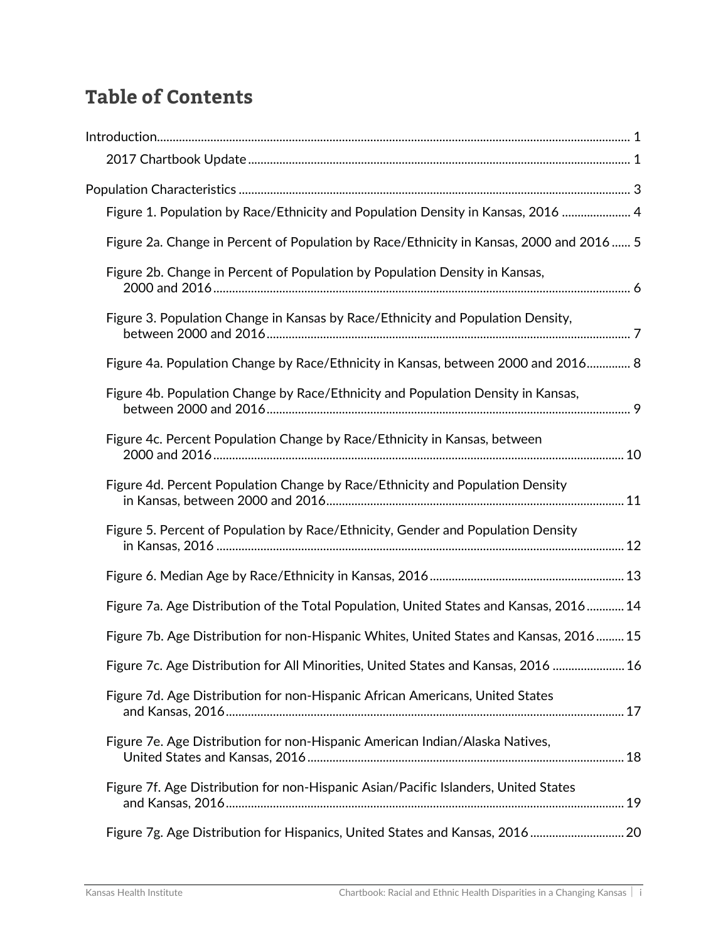## **Table of Contents**

| Figure 1. Population by Race/Ethnicity and Population Density in Kansas, 2016  4         |  |
|------------------------------------------------------------------------------------------|--|
| Figure 2a. Change in Percent of Population by Race/Ethnicity in Kansas, 2000 and 2016  5 |  |
| Figure 2b. Change in Percent of Population by Population Density in Kansas,              |  |
| Figure 3. Population Change in Kansas by Race/Ethnicity and Population Density,          |  |
| Figure 4a. Population Change by Race/Ethnicity in Kansas, between 2000 and 2016 8        |  |
| Figure 4b. Population Change by Race/Ethnicity and Population Density in Kansas,         |  |
| Figure 4c. Percent Population Change by Race/Ethnicity in Kansas, between                |  |
| Figure 4d. Percent Population Change by Race/Ethnicity and Population Density            |  |
| Figure 5. Percent of Population by Race/Ethnicity, Gender and Population Density         |  |
|                                                                                          |  |
| Figure 7a. Age Distribution of the Total Population, United States and Kansas, 2016 14   |  |
| Figure 7b. Age Distribution for non-Hispanic Whites, United States and Kansas, 2016 15   |  |
| Figure 7c. Age Distribution for All Minorities, United States and Kansas, 2016  16       |  |
| Figure 7d. Age Distribution for non-Hispanic African Americans, United States            |  |
| Figure 7e. Age Distribution for non-Hispanic American Indian/Alaska Natives,             |  |
| Figure 7f. Age Distribution for non-Hispanic Asian/Pacific Islanders, United States      |  |
| Figure 7g. Age Distribution for Hispanics, United States and Kansas, 2016 20             |  |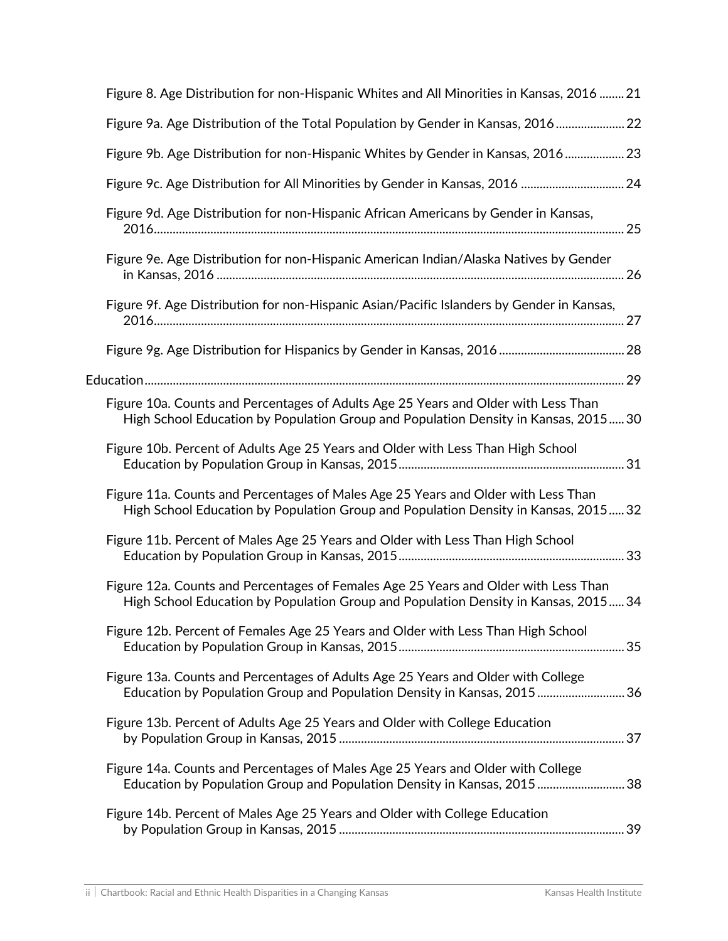| Figure 8. Age Distribution for non-Hispanic Whites and All Minorities in Kansas, 2016  21                                                                                  |
|----------------------------------------------------------------------------------------------------------------------------------------------------------------------------|
| Figure 9a. Age Distribution of the Total Population by Gender in Kansas, 2016 22                                                                                           |
| Figure 9b. Age Distribution for non-Hispanic Whites by Gender in Kansas, 2016 23                                                                                           |
| Figure 9c. Age Distribution for All Minorities by Gender in Kansas, 2016  24                                                                                               |
| Figure 9d. Age Distribution for non-Hispanic African Americans by Gender in Kansas,                                                                                        |
| Figure 9e. Age Distribution for non-Hispanic American Indian/Alaska Natives by Gender                                                                                      |
| Figure 9f. Age Distribution for non-Hispanic Asian/Pacific Islanders by Gender in Kansas,                                                                                  |
|                                                                                                                                                                            |
|                                                                                                                                                                            |
| Figure 10a. Counts and Percentages of Adults Age 25 Years and Older with Less Than<br>High School Education by Population Group and Population Density in Kansas, 201530   |
| Figure 10b. Percent of Adults Age 25 Years and Older with Less Than High School                                                                                            |
| Figure 11a. Counts and Percentages of Males Age 25 Years and Older with Less Than<br>High School Education by Population Group and Population Density in Kansas, 201532    |
| Figure 11b. Percent of Males Age 25 Years and Older with Less Than High School                                                                                             |
| Figure 12a. Counts and Percentages of Females Age 25 Years and Older with Less Than<br>High School Education by Population Group and Population Density in Kansas, 2015 34 |
| Figure 12b. Percent of Females Age 25 Years and Older with Less Than High School                                                                                           |
| Figure 13a. Counts and Percentages of Adults Age 25 Years and Older with College<br>Education by Population Group and Population Density in Kansas, 201536                 |
| Figure 13b. Percent of Adults Age 25 Years and Older with College Education                                                                                                |
| Figure 14a. Counts and Percentages of Males Age 25 Years and Older with College<br>Education by Population Group and Population Density in Kansas, 201538                  |
| Figure 14b. Percent of Males Age 25 Years and Older with College Education                                                                                                 |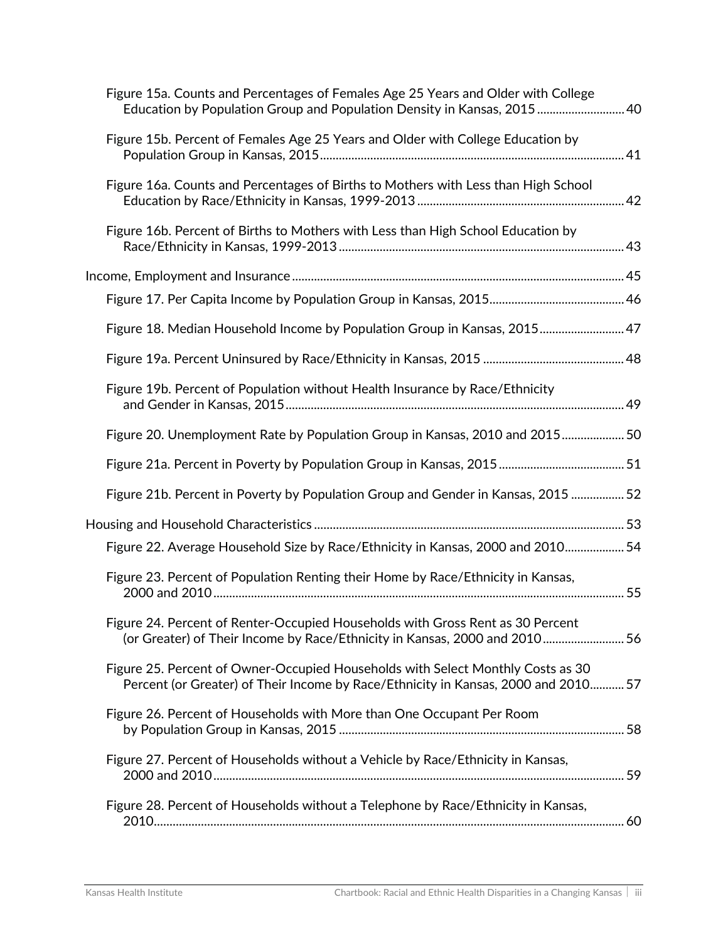| Figure 15a. Counts and Percentages of Females Age 25 Years and Older with College<br>Education by Population Group and Population Density in Kansas, 2015 40          |  |
|-----------------------------------------------------------------------------------------------------------------------------------------------------------------------|--|
| Figure 15b. Percent of Females Age 25 Years and Older with College Education by                                                                                       |  |
| Figure 16a. Counts and Percentages of Births to Mothers with Less than High School                                                                                    |  |
| Figure 16b. Percent of Births to Mothers with Less than High School Education by                                                                                      |  |
|                                                                                                                                                                       |  |
|                                                                                                                                                                       |  |
| Figure 18. Median Household Income by Population Group in Kansas, 2015 47                                                                                             |  |
|                                                                                                                                                                       |  |
| Figure 19b. Percent of Population without Health Insurance by Race/Ethnicity                                                                                          |  |
| Figure 20. Unemployment Rate by Population Group in Kansas, 2010 and 2015 50                                                                                          |  |
|                                                                                                                                                                       |  |
| Figure 21b. Percent in Poverty by Population Group and Gender in Kansas, 2015  52                                                                                     |  |
|                                                                                                                                                                       |  |
| Figure 22. Average Household Size by Race/Ethnicity in Kansas, 2000 and 2010 54                                                                                       |  |
| Figure 23. Percent of Population Renting their Home by Race/Ethnicity in Kansas,                                                                                      |  |
| Figure 24. Percent of Renter-Occupied Households with Gross Rent as 30 Percent<br>(or Greater) of Their Income by Race/Ethnicity in Kansas, 2000 and 2010 56          |  |
| Figure 25. Percent of Owner-Occupied Households with Select Monthly Costs as 30<br>Percent (or Greater) of Their Income by Race/Ethnicity in Kansas, 2000 and 2010 57 |  |
| Figure 26. Percent of Households with More than One Occupant Per Room                                                                                                 |  |
| Figure 27. Percent of Households without a Vehicle by Race/Ethnicity in Kansas,                                                                                       |  |
| Figure 28. Percent of Households without a Telephone by Race/Ethnicity in Kansas,                                                                                     |  |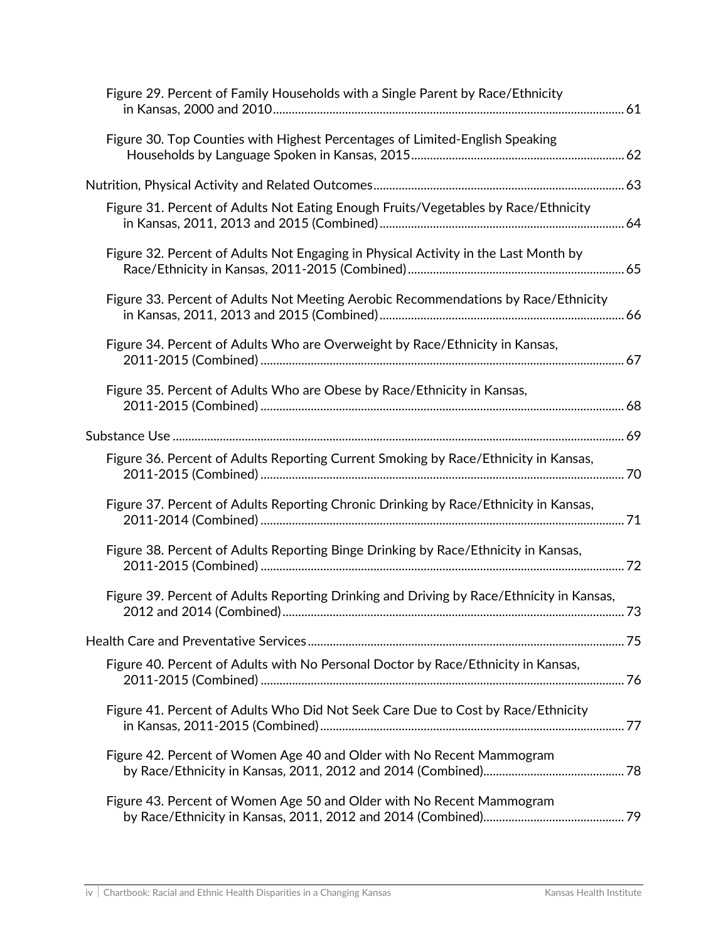| Figure 29. Percent of Family Households with a Single Parent by Race/Ethnicity           |  |
|------------------------------------------------------------------------------------------|--|
| Figure 30. Top Counties with Highest Percentages of Limited-English Speaking             |  |
|                                                                                          |  |
| Figure 31. Percent of Adults Not Eating Enough Fruits/Vegetables by Race/Ethnicity       |  |
| Figure 32. Percent of Adults Not Engaging in Physical Activity in the Last Month by      |  |
| Figure 33. Percent of Adults Not Meeting Aerobic Recommendations by Race/Ethnicity       |  |
| Figure 34. Percent of Adults Who are Overweight by Race/Ethnicity in Kansas,             |  |
| Figure 35. Percent of Adults Who are Obese by Race/Ethnicity in Kansas,                  |  |
|                                                                                          |  |
| Figure 36. Percent of Adults Reporting Current Smoking by Race/Ethnicity in Kansas,      |  |
| Figure 37. Percent of Adults Reporting Chronic Drinking by Race/Ethnicity in Kansas,     |  |
| Figure 38. Percent of Adults Reporting Binge Drinking by Race/Ethnicity in Kansas,       |  |
| Figure 39. Percent of Adults Reporting Drinking and Driving by Race/Ethnicity in Kansas, |  |
|                                                                                          |  |
| Figure 40. Percent of Adults with No Personal Doctor by Race/Ethnicity in Kansas,        |  |
| Figure 41. Percent of Adults Who Did Not Seek Care Due to Cost by Race/Ethnicity         |  |
| Figure 42. Percent of Women Age 40 and Older with No Recent Mammogram                    |  |
| Figure 43. Percent of Women Age 50 and Older with No Recent Mammogram                    |  |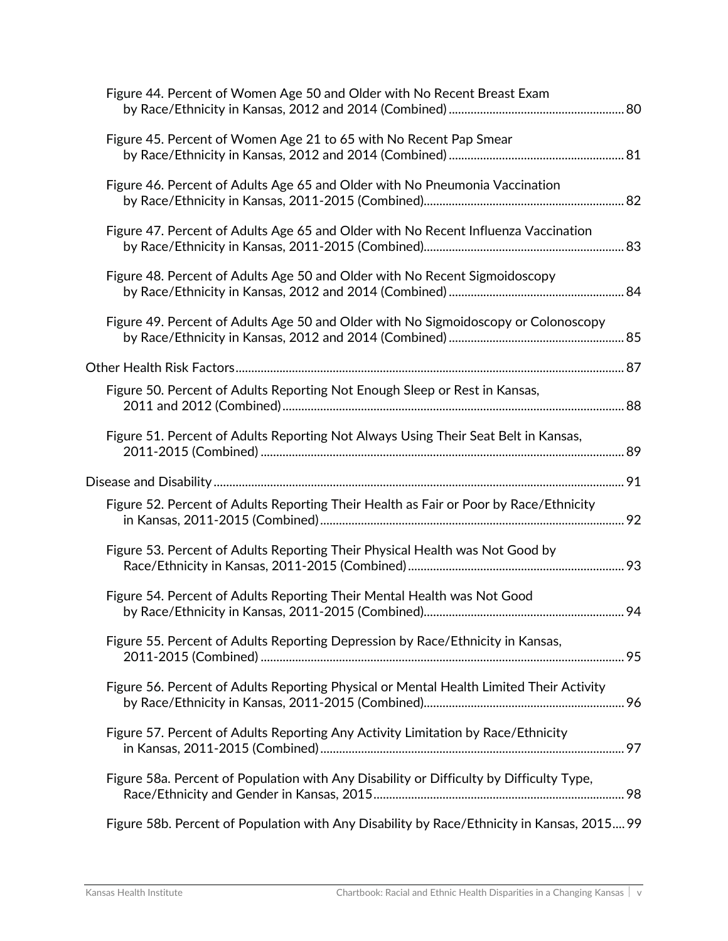| Figure 44. Percent of Women Age 50 and Older with No Recent Breast Exam                    |  |
|--------------------------------------------------------------------------------------------|--|
| Figure 45. Percent of Women Age 21 to 65 with No Recent Pap Smear                          |  |
| Figure 46. Percent of Adults Age 65 and Older with No Pneumonia Vaccination                |  |
| Figure 47. Percent of Adults Age 65 and Older with No Recent Influenza Vaccination         |  |
| Figure 48. Percent of Adults Age 50 and Older with No Recent Sigmoidoscopy                 |  |
| Figure 49. Percent of Adults Age 50 and Older with No Sigmoidoscopy or Colonoscopy         |  |
|                                                                                            |  |
| Figure 50. Percent of Adults Reporting Not Enough Sleep or Rest in Kansas,                 |  |
| Figure 51. Percent of Adults Reporting Not Always Using Their Seat Belt in Kansas,         |  |
|                                                                                            |  |
| Figure 52. Percent of Adults Reporting Their Health as Fair or Poor by Race/Ethnicity      |  |
| Figure 53. Percent of Adults Reporting Their Physical Health was Not Good by               |  |
| Figure 54. Percent of Adults Reporting Their Mental Health was Not Good                    |  |
| Figure 55. Percent of Adults Reporting Depression by Race/Ethnicity in Kansas,             |  |
| Figure 56. Percent of Adults Reporting Physical or Mental Health Limited Their Activity    |  |
| Figure 57. Percent of Adults Reporting Any Activity Limitation by Race/Ethnicity           |  |
| Figure 58a. Percent of Population with Any Disability or Difficulty by Difficulty Type,    |  |
| Figure 58b. Percent of Population with Any Disability by Race/Ethnicity in Kansas, 2015 99 |  |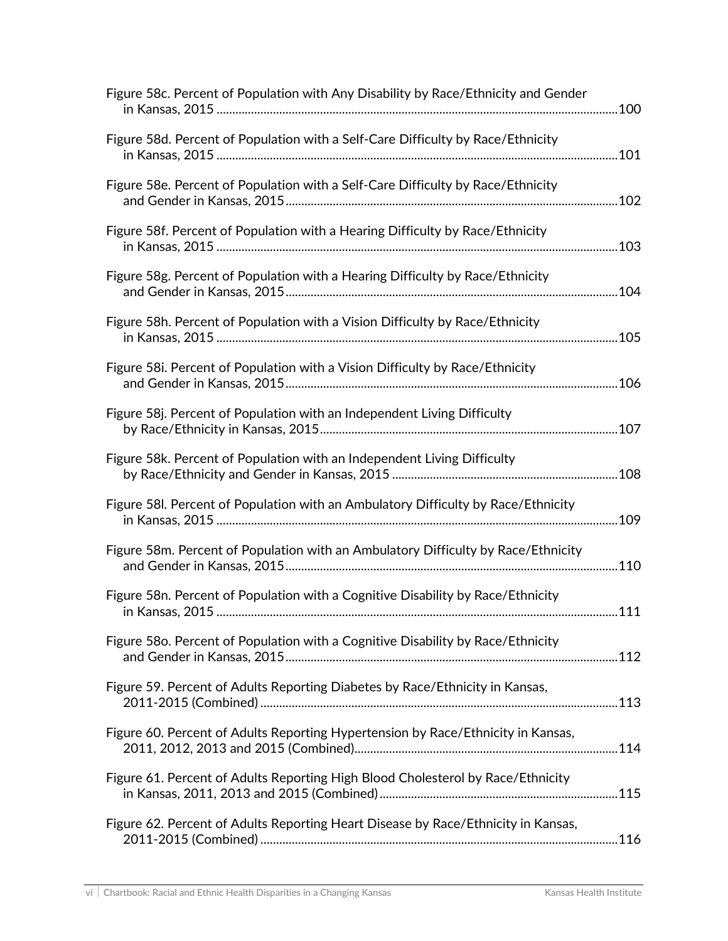| Figure 58c. Percent of Population with Any Disability by Race/Ethnicity and Gender |  |
|------------------------------------------------------------------------------------|--|
| Figure 58d. Percent of Population with a Self-Care Difficulty by Race/Ethnicity    |  |
| Figure 58e. Percent of Population with a Self-Care Difficulty by Race/Ethnicity    |  |
| Figure 58f. Percent of Population with a Hearing Difficulty by Race/Ethnicity      |  |
| Figure 58g. Percent of Population with a Hearing Difficulty by Race/Ethnicity      |  |
| Figure 58h. Percent of Population with a Vision Difficulty by Race/Ethnicity       |  |
| Figure 58i. Percent of Population with a Vision Difficulty by Race/Ethnicity       |  |
| Figure 58j. Percent of Population with an Independent Living Difficulty            |  |
| Figure 58k. Percent of Population with an Independent Living Difficulty            |  |
| Figure 58I. Percent of Population with an Ambulatory Difficulty by Race/Ethnicity  |  |
| Figure 58m. Percent of Population with an Ambulatory Difficulty by Race/Ethnicity  |  |
| Figure 58n. Percent of Population with a Cognitive Disability by Race/Ethnicity    |  |
| Figure 58o. Percent of Population with a Cognitive Disability by Race/Ethnicity    |  |
| Figure 59. Percent of Adults Reporting Diabetes by Race/Ethnicity in Kansas,       |  |
| Figure 60. Percent of Adults Reporting Hypertension by Race/Ethnicity in Kansas,   |  |
| Figure 61. Percent of Adults Reporting High Blood Cholesterol by Race/Ethnicity    |  |
| Figure 62. Percent of Adults Reporting Heart Disease by Race/Ethnicity in Kansas,  |  |
|                                                                                    |  |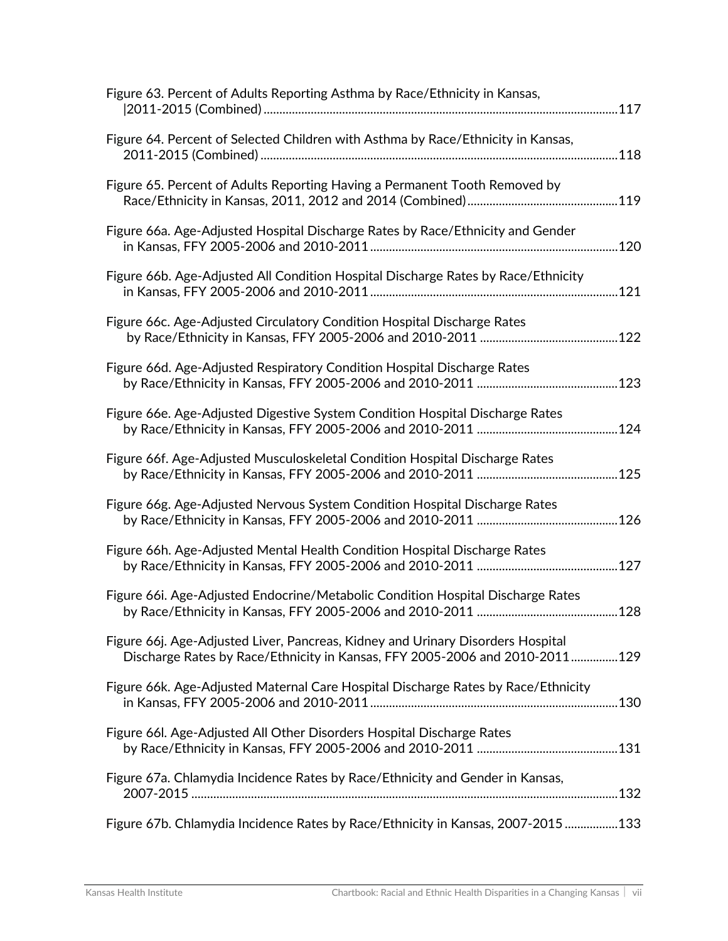| Figure 63. Percent of Adults Reporting Asthma by Race/Ethnicity in Kansas,                                                                                     |
|----------------------------------------------------------------------------------------------------------------------------------------------------------------|
| Figure 64. Percent of Selected Children with Asthma by Race/Ethnicity in Kansas,                                                                               |
| Figure 65. Percent of Adults Reporting Having a Permanent Tooth Removed by                                                                                     |
| Figure 66a. Age-Adjusted Hospital Discharge Rates by Race/Ethnicity and Gender                                                                                 |
| Figure 66b. Age-Adjusted All Condition Hospital Discharge Rates by Race/Ethnicity                                                                              |
| Figure 66c. Age-Adjusted Circulatory Condition Hospital Discharge Rates                                                                                        |
| Figure 66d. Age-Adjusted Respiratory Condition Hospital Discharge Rates                                                                                        |
| Figure 66e. Age-Adjusted Digestive System Condition Hospital Discharge Rates                                                                                   |
| Figure 66f. Age-Adjusted Musculoskeletal Condition Hospital Discharge Rates                                                                                    |
| Figure 66g. Age-Adjusted Nervous System Condition Hospital Discharge Rates                                                                                     |
| Figure 66h. Age-Adjusted Mental Health Condition Hospital Discharge Rates                                                                                      |
| Figure 66i. Age-Adjusted Endocrine/Metabolic Condition Hospital Discharge Rates                                                                                |
| Figure 66j. Age-Adjusted Liver, Pancreas, Kidney and Urinary Disorders Hospital<br>Discharge Rates by Race/Ethnicity in Kansas, FFY 2005-2006 and 2010-2011129 |
| Figure 66k. Age-Adjusted Maternal Care Hospital Discharge Rates by Race/Ethnicity                                                                              |
| Figure 66I. Age-Adjusted All Other Disorders Hospital Discharge Rates                                                                                          |
| Figure 67a. Chlamydia Incidence Rates by Race/Ethnicity and Gender in Kansas,                                                                                  |
| Figure 67b. Chlamydia Incidence Rates by Race/Ethnicity in Kansas, 2007-2015133                                                                                |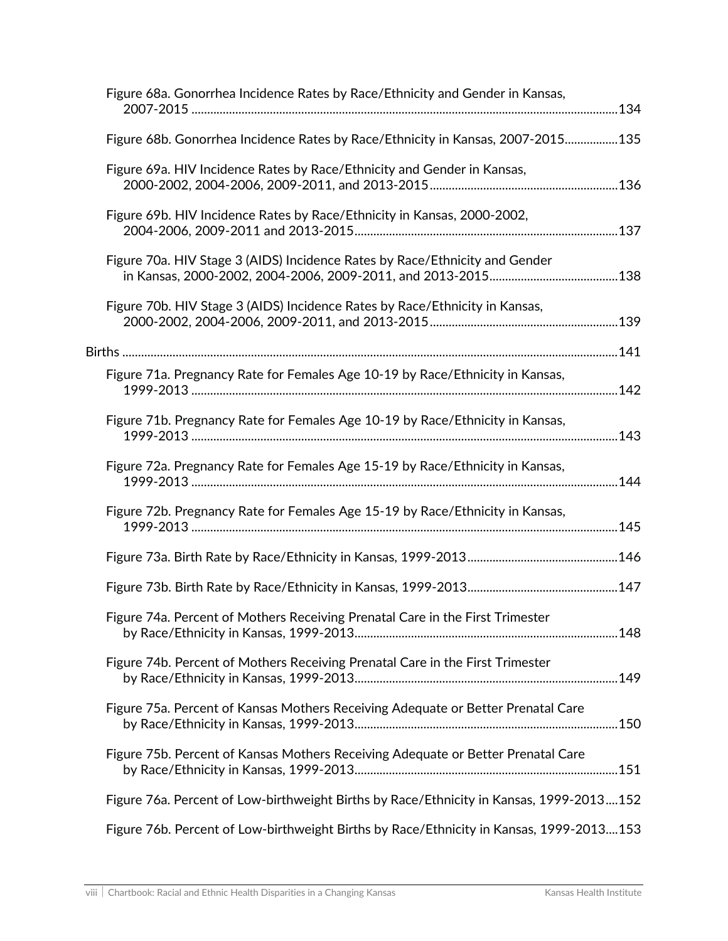| Figure 68a. Gonorrhea Incidence Rates by Race/Ethnicity and Gender in Kansas,           |  |
|-----------------------------------------------------------------------------------------|--|
| Figure 68b. Gonorrhea Incidence Rates by Race/Ethnicity in Kansas, 2007-2015135         |  |
| Figure 69a. HIV Incidence Rates by Race/Ethnicity and Gender in Kansas,                 |  |
| Figure 69b. HIV Incidence Rates by Race/Ethnicity in Kansas, 2000-2002,                 |  |
| Figure 70a. HIV Stage 3 (AIDS) Incidence Rates by Race/Ethnicity and Gender             |  |
| Figure 70b. HIV Stage 3 (AIDS) Incidence Rates by Race/Ethnicity in Kansas,             |  |
|                                                                                         |  |
| Figure 71a. Pregnancy Rate for Females Age 10-19 by Race/Ethnicity in Kansas,           |  |
| Figure 71b. Pregnancy Rate for Females Age 10-19 by Race/Ethnicity in Kansas,           |  |
| Figure 72a. Pregnancy Rate for Females Age 15-19 by Race/Ethnicity in Kansas,           |  |
| Figure 72b. Pregnancy Rate for Females Age 15-19 by Race/Ethnicity in Kansas,           |  |
|                                                                                         |  |
|                                                                                         |  |
| Figure 74a. Percent of Mothers Receiving Prenatal Care in the First Trimester           |  |
| Figure 74b. Percent of Mothers Receiving Prenatal Care in the First Trimester           |  |
| Figure 75a. Percent of Kansas Mothers Receiving Adequate or Better Prenatal Care        |  |
| Figure 75b. Percent of Kansas Mothers Receiving Adequate or Better Prenatal Care        |  |
| Figure 76a. Percent of Low-birthweight Births by Race/Ethnicity in Kansas, 1999-2013152 |  |
| Figure 76b. Percent of Low-birthweight Births by Race/Ethnicity in Kansas, 1999-2013153 |  |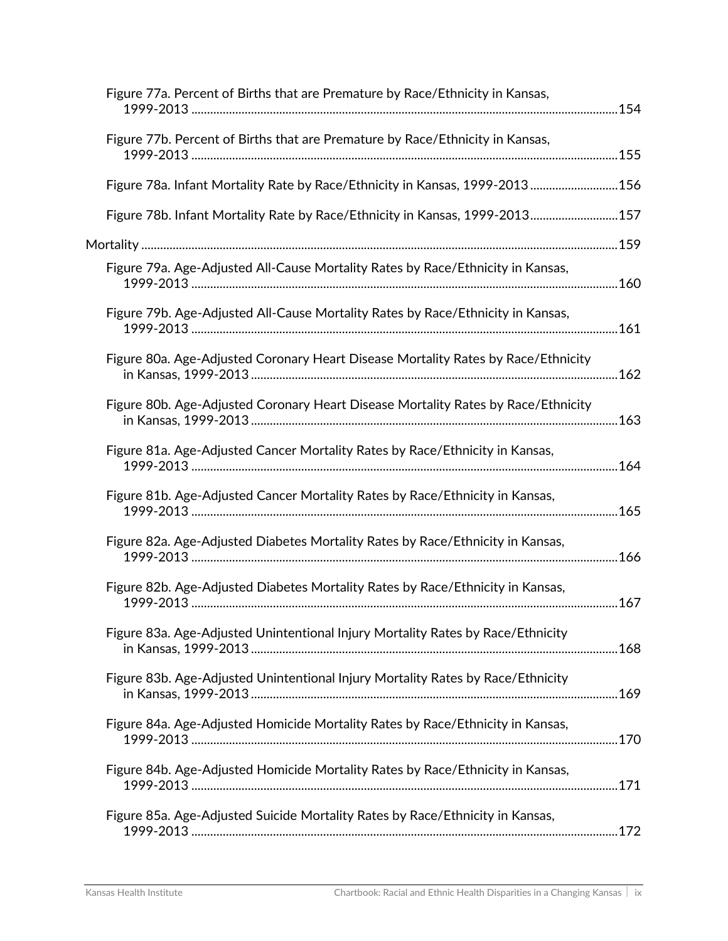| Figure 77a. Percent of Births that are Premature by Race/Ethnicity in Kansas,     |  |
|-----------------------------------------------------------------------------------|--|
| Figure 77b. Percent of Births that are Premature by Race/Ethnicity in Kansas,     |  |
| Figure 78a. Infant Mortality Rate by Race/Ethnicity in Kansas, 1999-2013156       |  |
| Figure 78b. Infant Mortality Rate by Race/Ethnicity in Kansas, 1999-2013 157      |  |
|                                                                                   |  |
| Figure 79a. Age-Adjusted All-Cause Mortality Rates by Race/Ethnicity in Kansas,   |  |
| Figure 79b. Age-Adjusted All-Cause Mortality Rates by Race/Ethnicity in Kansas,   |  |
| Figure 80a. Age-Adjusted Coronary Heart Disease Mortality Rates by Race/Ethnicity |  |
| Figure 80b. Age-Adjusted Coronary Heart Disease Mortality Rates by Race/Ethnicity |  |
| Figure 81a. Age-Adjusted Cancer Mortality Rates by Race/Ethnicity in Kansas,      |  |
| Figure 81b. Age-Adjusted Cancer Mortality Rates by Race/Ethnicity in Kansas,      |  |
| Figure 82a. Age-Adjusted Diabetes Mortality Rates by Race/Ethnicity in Kansas,    |  |
| Figure 82b. Age-Adjusted Diabetes Mortality Rates by Race/Ethnicity in Kansas,    |  |
| Figure 83a. Age-Adjusted Unintentional Injury Mortality Rates by Race/Ethnicity   |  |
| Figure 83b. Age-Adjusted Unintentional Injury Mortality Rates by Race/Ethnicity   |  |
| Figure 84a. Age-Adjusted Homicide Mortality Rates by Race/Ethnicity in Kansas,    |  |
| Figure 84b. Age-Adjusted Homicide Mortality Rates by Race/Ethnicity in Kansas,    |  |
| Figure 85a. Age-Adjusted Suicide Mortality Rates by Race/Ethnicity in Kansas,     |  |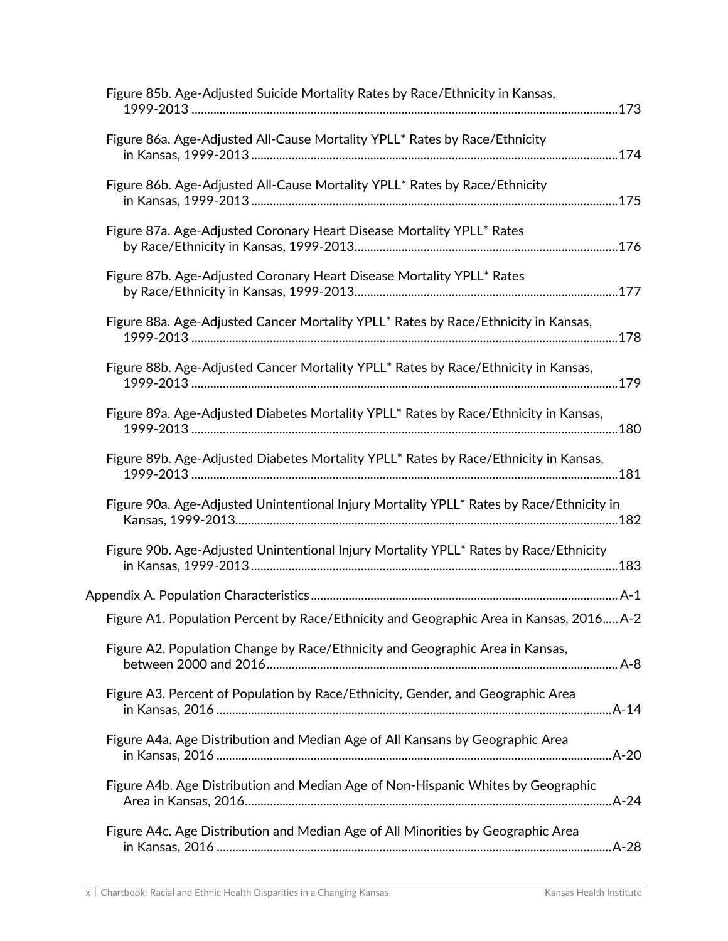| Figure 85b. Age-Adjusted Suicide Mortality Rates by Race/Ethnicity in Kansas,            |
|------------------------------------------------------------------------------------------|
| Figure 86a. Age-Adjusted All-Cause Mortality YPLL* Rates by Race/Ethnicity               |
| Figure 86b. Age-Adjusted All-Cause Mortality YPLL* Rates by Race/Ethnicity               |
| Figure 87a. Age-Adjusted Coronary Heart Disease Mortality YPLL* Rates                    |
| Figure 87b. Age-Adjusted Coronary Heart Disease Mortality YPLL* Rates                    |
| Figure 88a. Age-Adjusted Cancer Mortality YPLL* Rates by Race/Ethnicity in Kansas,       |
| Figure 88b. Age-Adjusted Cancer Mortality YPLL* Rates by Race/Ethnicity in Kansas,       |
| Figure 89a. Age-Adjusted Diabetes Mortality YPLL* Rates by Race/Ethnicity in Kansas,     |
| Figure 89b. Age-Adjusted Diabetes Mortality YPLL* Rates by Race/Ethnicity in Kansas,     |
| Figure 90a. Age-Adjusted Unintentional Injury Mortality YPLL* Rates by Race/Ethnicity in |
| Figure 90b. Age-Adjusted Unintentional Injury Mortality YPLL* Rates by Race/Ethnicity    |
|                                                                                          |
| Figure A1. Population Percent by Race/Ethnicity and Geographic Area in Kansas, 2016 A-2  |
| Figure A2. Population Change by Race/Ethnicity and Geographic Area in Kansas,            |
| Figure A3. Percent of Population by Race/Ethnicity, Gender, and Geographic Area          |
| Figure A4a. Age Distribution and Median Age of All Kansans by Geographic Area            |
| Figure A4b. Age Distribution and Median Age of Non-Hispanic Whites by Geographic         |
| Figure A4c. Age Distribution and Median Age of All Minorities by Geographic Area         |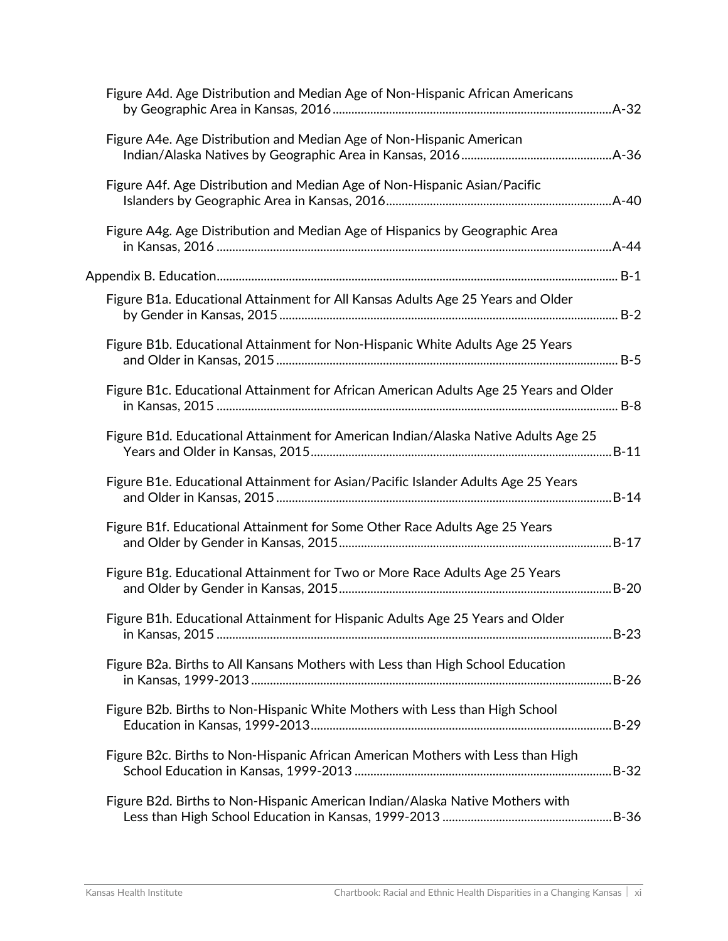| Figure A4d. Age Distribution and Median Age of Non-Hispanic African Americans         |  |
|---------------------------------------------------------------------------------------|--|
| Figure A4e. Age Distribution and Median Age of Non-Hispanic American                  |  |
| Figure A4f. Age Distribution and Median Age of Non-Hispanic Asian/Pacific             |  |
| Figure A4g. Age Distribution and Median Age of Hispanics by Geographic Area           |  |
|                                                                                       |  |
| Figure B1a. Educational Attainment for All Kansas Adults Age 25 Years and Older       |  |
| Figure B1b. Educational Attainment for Non-Hispanic White Adults Age 25 Years         |  |
| Figure B1c. Educational Attainment for African American Adults Age 25 Years and Older |  |
| Figure B1d. Educational Attainment for American Indian/Alaska Native Adults Age 25    |  |
| Figure B1e. Educational Attainment for Asian/Pacific Islander Adults Age 25 Years     |  |
| Figure B1f. Educational Attainment for Some Other Race Adults Age 25 Years            |  |
| Figure B1g. Educational Attainment for Two or More Race Adults Age 25 Years           |  |
| Figure B1h. Educational Attainment for Hispanic Adults Age 25 Years and Older         |  |
| Figure B2a. Births to All Kansans Mothers with Less than High School Education        |  |
| Figure B2b. Births to Non-Hispanic White Mothers with Less than High School           |  |
| Figure B2c. Births to Non-Hispanic African American Mothers with Less than High       |  |
| Figure B2d. Births to Non-Hispanic American Indian/Alaska Native Mothers with         |  |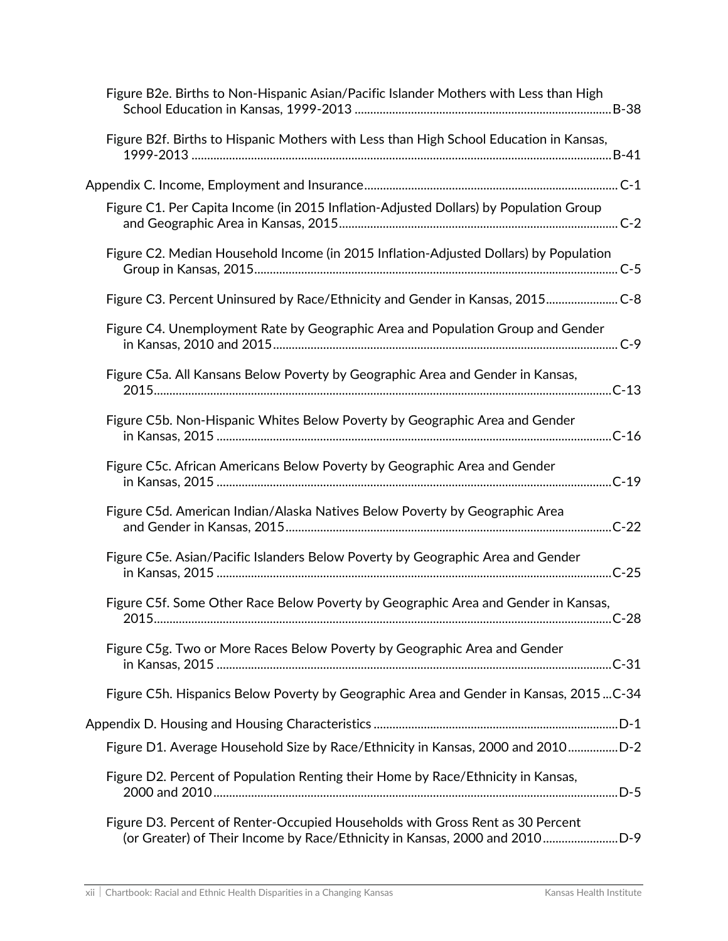| Figure B2e. Births to Non-Hispanic Asian/Pacific Islander Mothers with Less than High                                                                        |
|--------------------------------------------------------------------------------------------------------------------------------------------------------------|
| Figure B2f. Births to Hispanic Mothers with Less than High School Education in Kansas,                                                                       |
|                                                                                                                                                              |
| Figure C1. Per Capita Income (in 2015 Inflation-Adjusted Dollars) by Population Group                                                                        |
| Figure C2. Median Household Income (in 2015 Inflation-Adjusted Dollars) by Population                                                                        |
| Figure C3. Percent Uninsured by Race/Ethnicity and Gender in Kansas, 2015 C-8                                                                                |
| Figure C4. Unemployment Rate by Geographic Area and Population Group and Gender                                                                              |
| Figure C5a. All Kansans Below Poverty by Geographic Area and Gender in Kansas,                                                                               |
| Figure C5b. Non-Hispanic Whites Below Poverty by Geographic Area and Gender                                                                                  |
| Figure C5c. African Americans Below Poverty by Geographic Area and Gender                                                                                    |
| Figure C5d. American Indian/Alaska Natives Below Poverty by Geographic Area                                                                                  |
| Figure C5e. Asian/Pacific Islanders Below Poverty by Geographic Area and Gender                                                                              |
| Figure C5f. Some Other Race Below Poverty by Geographic Area and Gender in Kansas,                                                                           |
| Figure C5g. Two or More Races Below Poverty by Geographic Area and Gender                                                                                    |
| Figure C5h. Hispanics Below Poverty by Geographic Area and Gender in Kansas, 2015C-34                                                                        |
| Appendix D. Housing and Housing Characteristics ………………………………………………………………………………D-1                                                                            |
| Figure D1. Average Household Size by Race/Ethnicity in Kansas, 2000 and 2010D-2                                                                              |
| Figure D2. Percent of Population Renting their Home by Race/Ethnicity in Kansas,                                                                             |
| Figure D3. Percent of Renter-Occupied Households with Gross Rent as 30 Percent<br>(or Greater) of Their Income by Race/Ethnicity in Kansas, 2000 and 2010D-9 |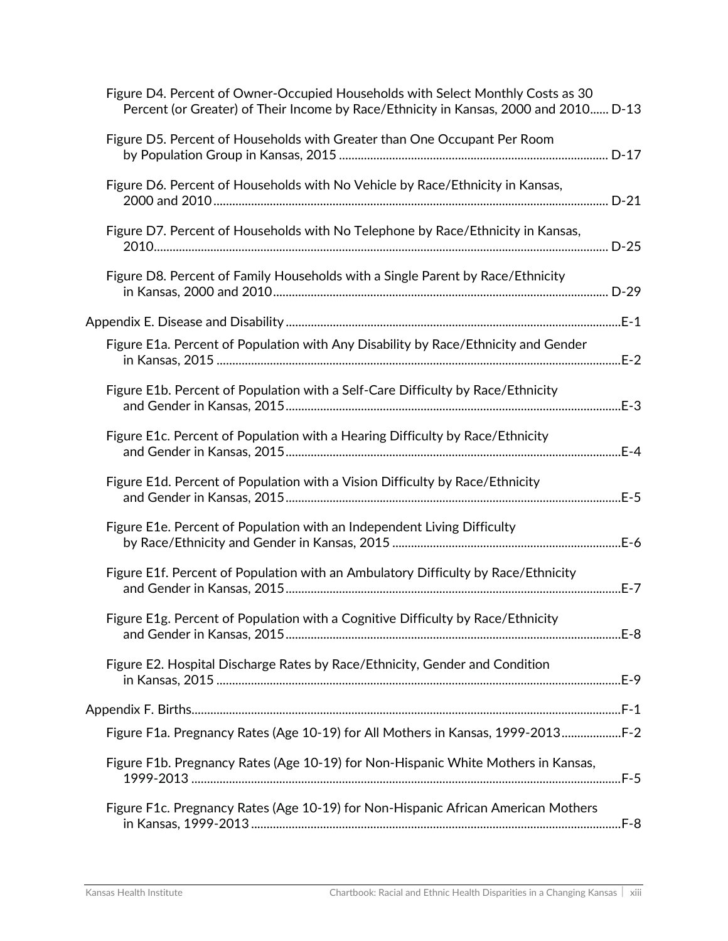| Figure D4. Percent of Owner-Occupied Households with Select Monthly Costs as 30<br>Percent (or Greater) of Their Income by Race/Ethnicity in Kansas, 2000 and 2010 D-13 |  |
|-------------------------------------------------------------------------------------------------------------------------------------------------------------------------|--|
| Figure D5. Percent of Households with Greater than One Occupant Per Room                                                                                                |  |
| Figure D6. Percent of Households with No Vehicle by Race/Ethnicity in Kansas,                                                                                           |  |
| Figure D7. Percent of Households with No Telephone by Race/Ethnicity in Kansas,                                                                                         |  |
| Figure D8. Percent of Family Households with a Single Parent by Race/Ethnicity                                                                                          |  |
|                                                                                                                                                                         |  |
| Figure E1a. Percent of Population with Any Disability by Race/Ethnicity and Gender                                                                                      |  |
| Figure E1b. Percent of Population with a Self-Care Difficulty by Race/Ethnicity                                                                                         |  |
| Figure E1c. Percent of Population with a Hearing Difficulty by Race/Ethnicity                                                                                           |  |
| Figure E1d. Percent of Population with a Vision Difficulty by Race/Ethnicity                                                                                            |  |
| Figure E1e. Percent of Population with an Independent Living Difficulty                                                                                                 |  |
| Figure E1f. Percent of Population with an Ambulatory Difficulty by Race/Ethnicity                                                                                       |  |
| Figure E1g. Percent of Population with a Cognitive Difficulty by Race/Ethnicity                                                                                         |  |
| Figure E2. Hospital Discharge Rates by Race/Ethnicity, Gender and Condition                                                                                             |  |
|                                                                                                                                                                         |  |
| Figure F1a. Pregnancy Rates (Age 10-19) for All Mothers in Kansas, 1999-2013F-2                                                                                         |  |
|                                                                                                                                                                         |  |
| Figure F1b. Pregnancy Rates (Age 10-19) for Non-Hispanic White Mothers in Kansas,                                                                                       |  |
| Figure F1c. Pregnancy Rates (Age 10-19) for Non-Hispanic African American Mothers                                                                                       |  |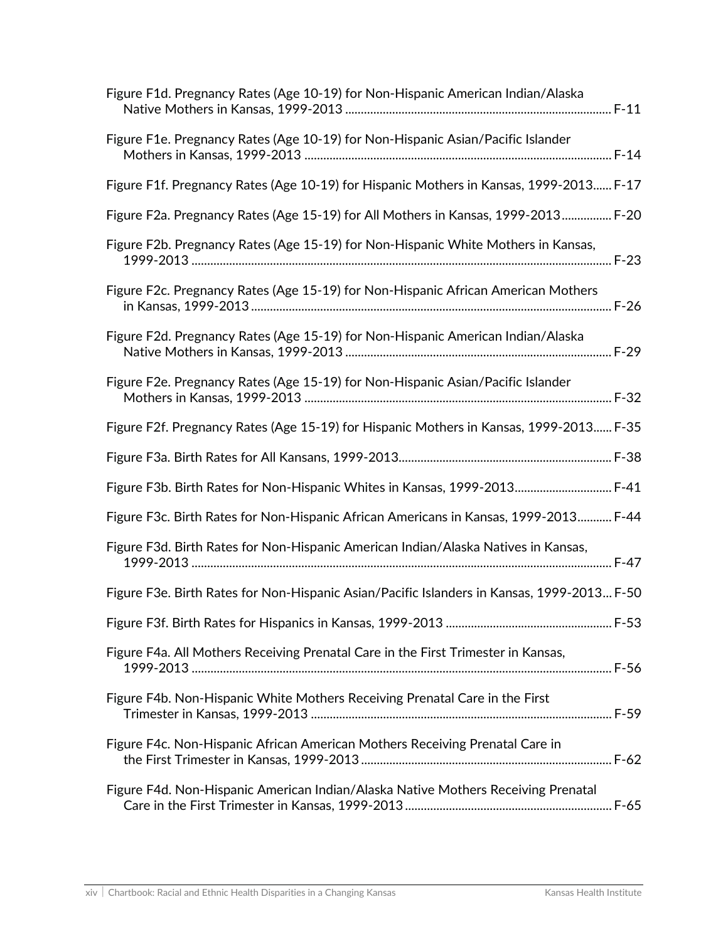| Figure F1d. Pregnancy Rates (Age 10-19) for Non-Hispanic American Indian/Alaska            |
|--------------------------------------------------------------------------------------------|
| Figure F1e. Pregnancy Rates (Age 10-19) for Non-Hispanic Asian/Pacific Islander            |
| Figure F1f. Pregnancy Rates (Age 10-19) for Hispanic Mothers in Kansas, 1999-2013 F-17     |
| Figure F2a. Pregnancy Rates (Age 15-19) for All Mothers in Kansas, 1999-2013 F-20          |
| Figure F2b. Pregnancy Rates (Age 15-19) for Non-Hispanic White Mothers in Kansas,          |
| Figure F2c. Pregnancy Rates (Age 15-19) for Non-Hispanic African American Mothers          |
| Figure F2d. Pregnancy Rates (Age 15-19) for Non-Hispanic American Indian/Alaska            |
| Figure F2e. Pregnancy Rates (Age 15-19) for Non-Hispanic Asian/Pacific Islander            |
| Figure F2f. Pregnancy Rates (Age 15-19) for Hispanic Mothers in Kansas, 1999-2013 F-35     |
|                                                                                            |
| Figure F3b. Birth Rates for Non-Hispanic Whites in Kansas, 1999-2013 F-41                  |
| Figure F3c. Birth Rates for Non-Hispanic African Americans in Kansas, 1999-2013 F-44       |
| Figure F3d. Birth Rates for Non-Hispanic American Indian/Alaska Natives in Kansas,         |
| Figure F3e. Birth Rates for Non-Hispanic Asian/Pacific Islanders in Kansas, 1999-2013 F-50 |
|                                                                                            |
| Figure F4a. All Mothers Receiving Prenatal Care in the First Trimester in Kansas,          |
| Figure F4b. Non-Hispanic White Mothers Receiving Prenatal Care in the First                |
| Figure F4c. Non-Hispanic African American Mothers Receiving Prenatal Care in               |
| Figure F4d. Non-Hispanic American Indian/Alaska Native Mothers Receiving Prenatal          |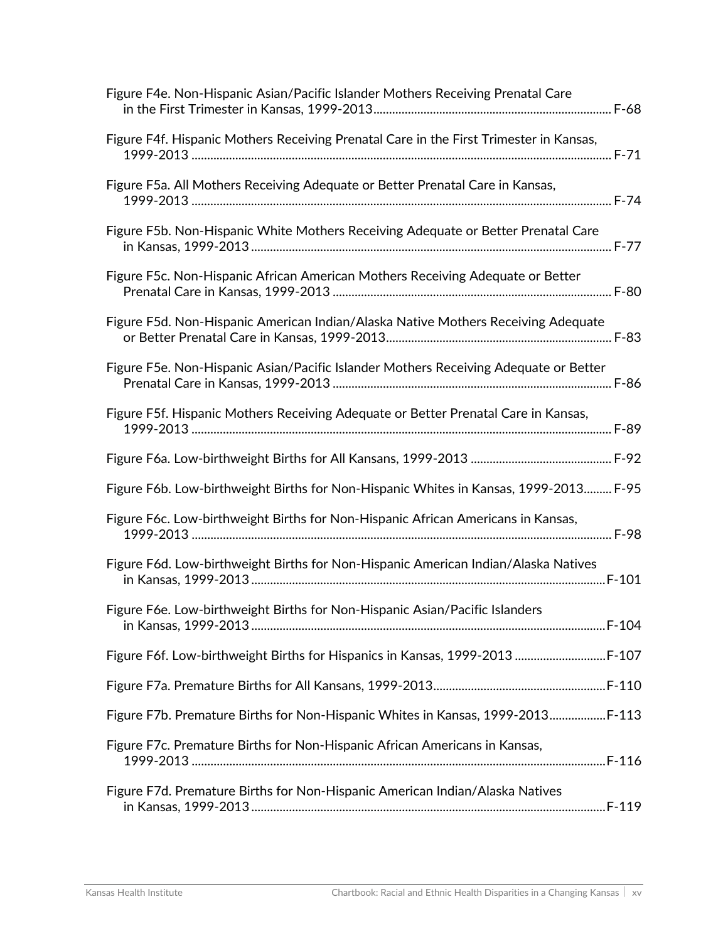| Figure F4e. Non-Hispanic Asian/Pacific Islander Mothers Receiving Prenatal Care        |
|----------------------------------------------------------------------------------------|
| Figure F4f. Hispanic Mothers Receiving Prenatal Care in the First Trimester in Kansas, |
| Figure F5a. All Mothers Receiving Adequate or Better Prenatal Care in Kansas,          |
| Figure F5b. Non-Hispanic White Mothers Receiving Adequate or Better Prenatal Care      |
| Figure F5c. Non-Hispanic African American Mothers Receiving Adequate or Better         |
| Figure F5d. Non-Hispanic American Indian/Alaska Native Mothers Receiving Adequate      |
| Figure F5e. Non-Hispanic Asian/Pacific Islander Mothers Receiving Adequate or Better   |
| Figure F5f. Hispanic Mothers Receiving Adequate or Better Prenatal Care in Kansas,     |
|                                                                                        |
| Figure F6b. Low-birthweight Births for Non-Hispanic Whites in Kansas, 1999-2013 F-95   |
| Figure F6c. Low-birthweight Births for Non-Hispanic African Americans in Kansas,       |
| Figure F6d. Low-birthweight Births for Non-Hispanic American Indian/Alaska Natives     |
| Figure F6e. Low-birthweight Births for Non-Hispanic Asian/Pacific Islanders            |
| Figure F6f. Low-birthweight Births for Hispanics in Kansas, 1999-2013  F-107           |
|                                                                                        |
| Figure F7b. Premature Births for Non-Hispanic Whites in Kansas, 1999-2013 F-113        |
| Figure F7c. Premature Births for Non-Hispanic African Americans in Kansas,             |
| Figure F7d. Premature Births for Non-Hispanic American Indian/Alaska Natives           |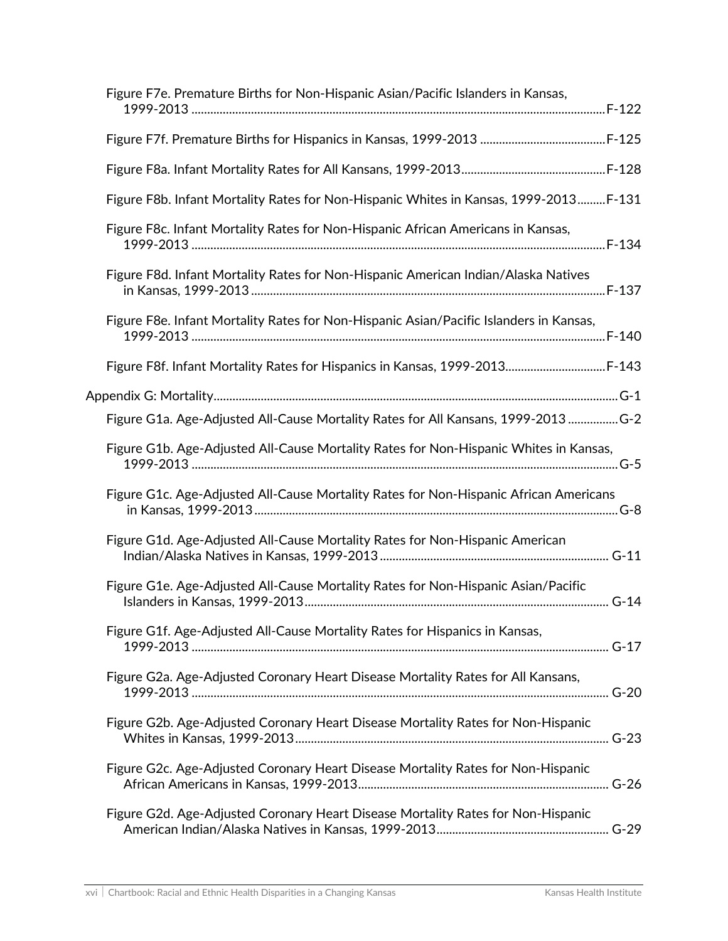| Figure F7e. Premature Births for Non-Hispanic Asian/Pacific Islanders in Kansas,       |
|----------------------------------------------------------------------------------------|
|                                                                                        |
|                                                                                        |
| Figure F8b. Infant Mortality Rates for Non-Hispanic Whites in Kansas, 1999-2013F-131   |
| Figure F8c. Infant Mortality Rates for Non-Hispanic African Americans in Kansas,       |
| Figure F8d. Infant Mortality Rates for Non-Hispanic American Indian/Alaska Natives     |
| Figure F8e. Infant Mortality Rates for Non-Hispanic Asian/Pacific Islanders in Kansas, |
| Figure F8f. Infant Mortality Rates for Hispanics in Kansas, 1999-2013 F-143            |
|                                                                                        |
| Figure G1a. Age-Adjusted All-Cause Mortality Rates for All Kansans, 1999-2013 G-2      |
| Figure G1b. Age-Adjusted All-Cause Mortality Rates for Non-Hispanic Whites in Kansas,  |
| Figure G1c. Age-Adjusted All-Cause Mortality Rates for Non-Hispanic African Americans  |
| Figure G1d. Age-Adjusted All-Cause Mortality Rates for Non-Hispanic American           |
| Figure G1e. Age-Adjusted All-Cause Mortality Rates for Non-Hispanic Asian/Pacific      |
| Figure G1f. Age-Adjusted All-Cause Mortality Rates for Hispanics in Kansas,            |
| Figure G2a. Age-Adjusted Coronary Heart Disease Mortality Rates for All Kansans,       |
| Figure G2b. Age-Adjusted Coronary Heart Disease Mortality Rates for Non-Hispanic       |
| Figure G2c. Age-Adjusted Coronary Heart Disease Mortality Rates for Non-Hispanic       |
| Figure G2d. Age-Adjusted Coronary Heart Disease Mortality Rates for Non-Hispanic       |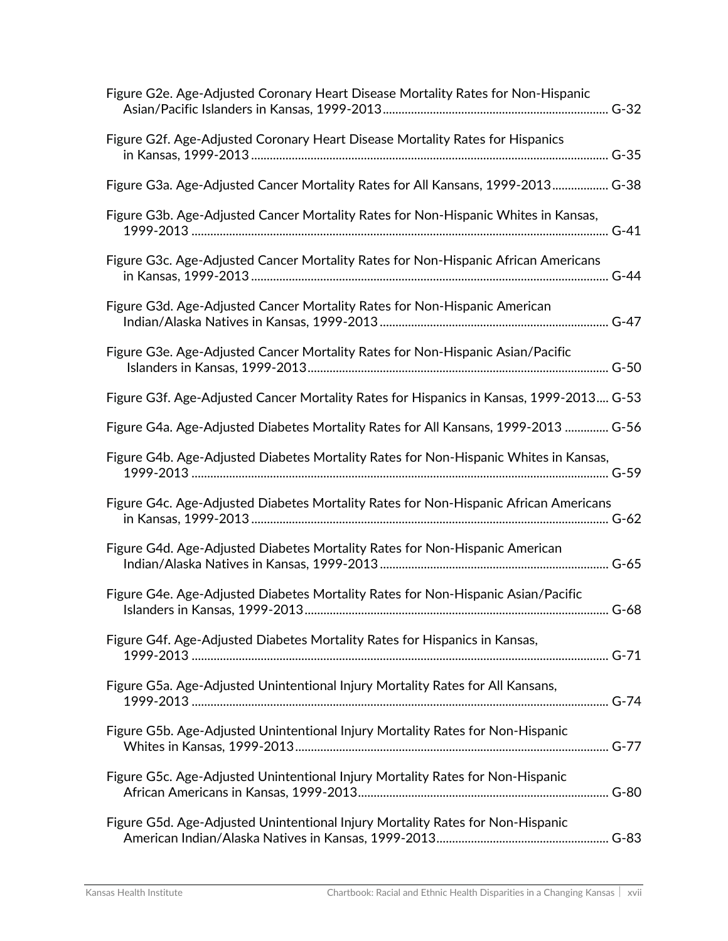| Figure G2e. Age-Adjusted Coronary Heart Disease Mortality Rates for Non-Hispanic        |
|-----------------------------------------------------------------------------------------|
| Figure G2f. Age-Adjusted Coronary Heart Disease Mortality Rates for Hispanics           |
| Figure G3a. Age-Adjusted Cancer Mortality Rates for All Kansans, 1999-2013 G-38         |
| Figure G3b. Age-Adjusted Cancer Mortality Rates for Non-Hispanic Whites in Kansas,      |
| Figure G3c. Age-Adjusted Cancer Mortality Rates for Non-Hispanic African Americans      |
| Figure G3d. Age-Adjusted Cancer Mortality Rates for Non-Hispanic American               |
| Figure G3e. Age-Adjusted Cancer Mortality Rates for Non-Hispanic Asian/Pacific          |
| Figure G3f. Age-Adjusted Cancer Mortality Rates for Hispanics in Kansas, 1999-2013 G-53 |
| Figure G4a. Age-Adjusted Diabetes Mortality Rates for All Kansans, 1999-2013  G-56      |
| Figure G4b. Age-Adjusted Diabetes Mortality Rates for Non-Hispanic Whites in Kansas,    |
| Figure G4c. Age-Adjusted Diabetes Mortality Rates for Non-Hispanic African Americans    |
| Figure G4d. Age-Adjusted Diabetes Mortality Rates for Non-Hispanic American             |
| Figure G4e. Age-Adjusted Diabetes Mortality Rates for Non-Hispanic Asian/Pacific        |
| Figure G4f. Age-Adjusted Diabetes Mortality Rates for Hispanics in Kansas,              |
| Figure G5a. Age-Adjusted Unintentional Injury Mortality Rates for All Kansans,          |
| Figure G5b. Age-Adjusted Unintentional Injury Mortality Rates for Non-Hispanic          |
| Figure G5c. Age-Adjusted Unintentional Injury Mortality Rates for Non-Hispanic          |
| Figure G5d. Age-Adjusted Unintentional Injury Mortality Rates for Non-Hispanic          |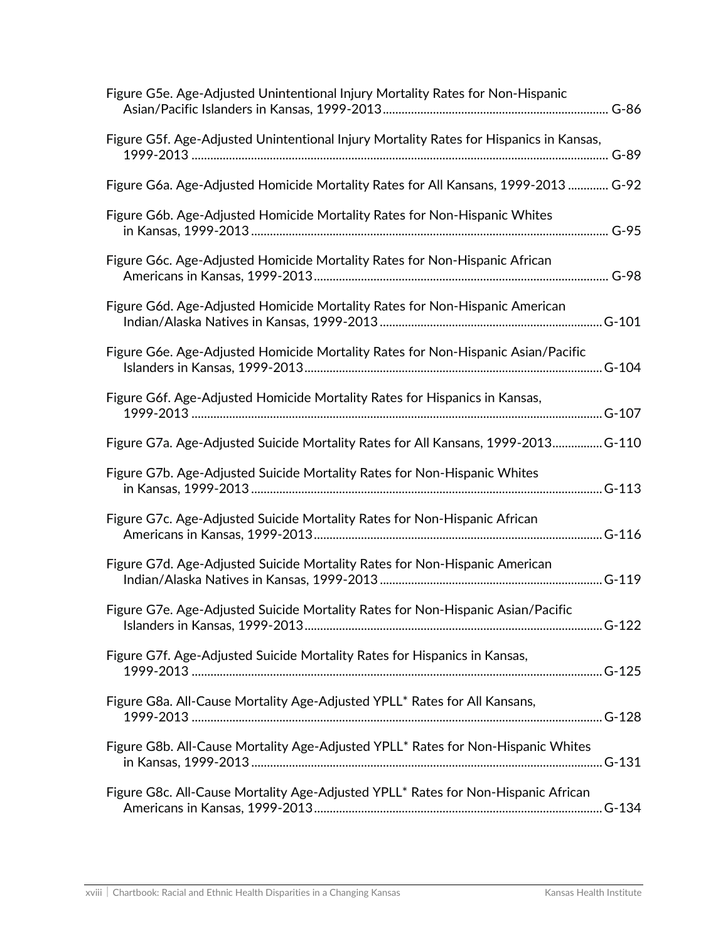| Figure G5e. Age-Adjusted Unintentional Injury Mortality Rates for Non-Hispanic         |
|----------------------------------------------------------------------------------------|
| Figure G5f. Age-Adjusted Unintentional Injury Mortality Rates for Hispanics in Kansas, |
| Figure G6a. Age-Adjusted Homicide Mortality Rates for All Kansans, 1999-2013  G-92     |
| Figure G6b. Age-Adjusted Homicide Mortality Rates for Non-Hispanic Whites              |
| Figure G6c. Age-Adjusted Homicide Mortality Rates for Non-Hispanic African             |
| Figure G6d. Age-Adjusted Homicide Mortality Rates for Non-Hispanic American            |
| Figure G6e. Age-Adjusted Homicide Mortality Rates for Non-Hispanic Asian/Pacific       |
| Figure G6f. Age-Adjusted Homicide Mortality Rates for Hispanics in Kansas,             |
| Figure G7a. Age-Adjusted Suicide Mortality Rates for All Kansans, 1999-2013 G-110      |
| Figure G7b. Age-Adjusted Suicide Mortality Rates for Non-Hispanic Whites               |
| Figure G7c. Age-Adjusted Suicide Mortality Rates for Non-Hispanic African              |
| Figure G7d. Age-Adjusted Suicide Mortality Rates for Non-Hispanic American             |
| Figure G7e. Age-Adjusted Suicide Mortality Rates for Non-Hispanic Asian/Pacific        |
| Figure G7f. Age-Adjusted Suicide Mortality Rates for Hispanics in Kansas,              |
| Figure G8a. All-Cause Mortality Age-Adjusted YPLL* Rates for All Kansans,              |
| Figure G8b. All-Cause Mortality Age-Adjusted YPLL* Rates for Non-Hispanic Whites       |
| Figure G8c. All-Cause Mortality Age-Adjusted YPLL* Rates for Non-Hispanic African      |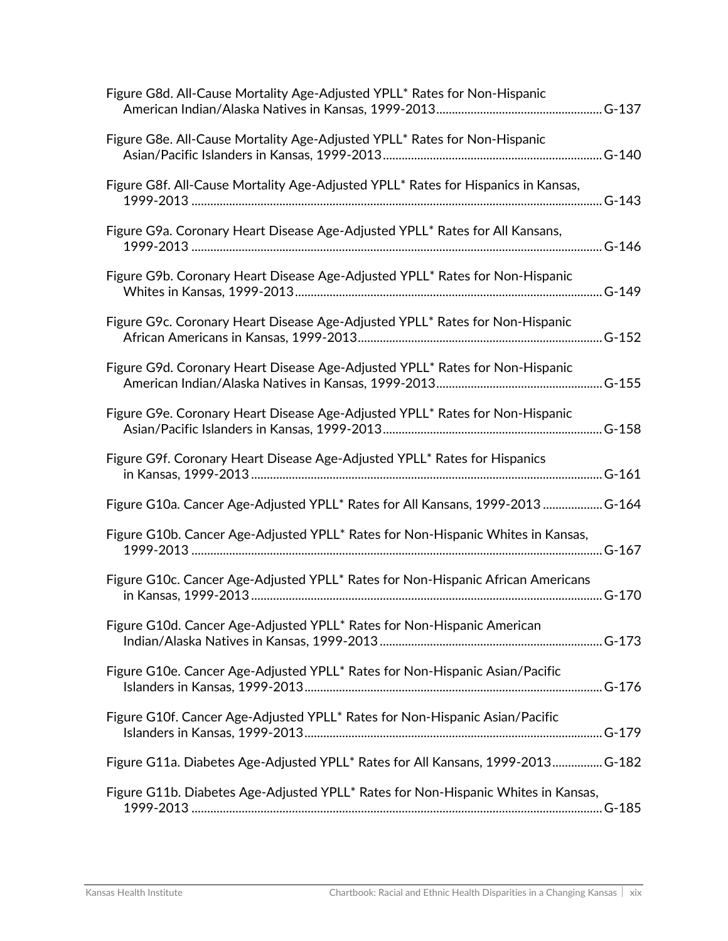| Figure G8d. All-Cause Mortality Age-Adjusted YPLL* Rates for Non-Hispanic                     |
|-----------------------------------------------------------------------------------------------|
| Figure G8e. All-Cause Mortality Age-Adjusted YPLL* Rates for Non-Hispanic                     |
| Figure G8f. All-Cause Mortality Age-Adjusted YPLL* Rates for Hispanics in Kansas,             |
| Figure G9a. Coronary Heart Disease Age-Adjusted YPLL* Rates for All Kansans,                  |
| Figure G9b. Coronary Heart Disease Age-Adjusted YPLL* Rates for Non-Hispanic                  |
| Figure G9c. Coronary Heart Disease Age-Adjusted YPLL* Rates for Non-Hispanic                  |
| Figure G9d. Coronary Heart Disease Age-Adjusted YPLL* Rates for Non-Hispanic                  |
| Figure G9e. Coronary Heart Disease Age-Adjusted YPLL* Rates for Non-Hispanic                  |
| Figure G9f. Coronary Heart Disease Age-Adjusted YPLL* Rates for Hispanics                     |
| Figure G10a. Cancer Age-Adjusted YPLL* Rates for All Kansans, 1999-2013  G-164                |
| Figure G10b. Cancer Age-Adjusted YPLL <sup>*</sup> Rates for Non-Hispanic Whites in Kansas,   |
| Figure G10c. Cancer Age-Adjusted YPLL <sup>*</sup> Rates for Non-Hispanic African Americans   |
| Figure G10d. Cancer Age-Adjusted YPLL* Rates for Non-Hispanic American                        |
| Figure G10e. Cancer Age-Adjusted YPLL* Rates for Non-Hispanic Asian/Pacific                   |
| Figure G10f. Cancer Age-Adjusted YPLL* Rates for Non-Hispanic Asian/Pacific                   |
| Figure G11a. Diabetes Age-Adjusted YPLL* Rates for All Kansans, 1999-2013 G-182               |
| Figure G11b. Diabetes Age-Adjusted YPLL <sup>*</sup> Rates for Non-Hispanic Whites in Kansas, |